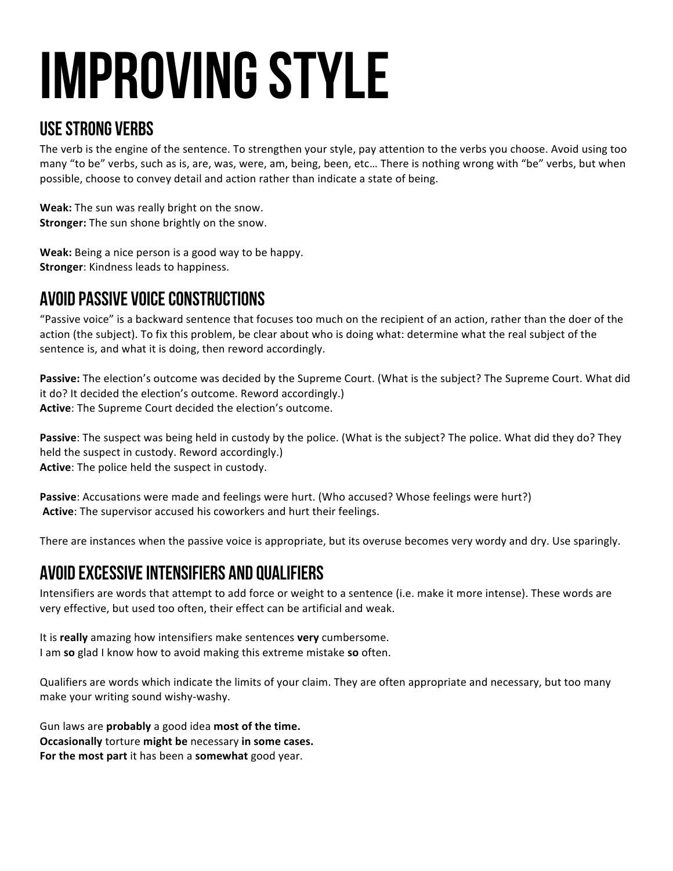# Improving Style

#### Use Strong Verbs

The verb is the engine of the sentence. To strengthen your style, pay attention to the verbs you choose. Avoid using too many "to be" verbs, such as is, are, was, were, am, being, been, etc... There is nothing wrong with "be" verbs, but when possible, choose to convey detail and action rather than indicate a state of being.

**Weak:** The sun was really bright on the snow. **Stronger:** The sun shone brightly on the snow.

**Weak:** Being a nice person is a good way to be happy. **Stronger:** Kindness leads to happiness.

## Avoid Passive Voice Constructions

"Passive voice" is a backward sentence that focuses too much on the recipient of an action, rather than the doer of the action (the subject). To fix this problem, be clear about who is doing what: determine what the real subject of the sentence is, and what it is doing, then reword accordingly.

**Passive:** The election's outcome was decided by the Supreme Court. (What is the subject? The Supreme Court. What did it do? It decided the election's outcome. Reword accordingly.) **Active:** The Supreme Court decided the election's outcome.

**Passive**: The suspect was being held in custody by the police. (What is the subject? The police. What did they do? They held the suspect in custody. Reword accordingly.) **Active:** The police held the suspect in custody.

Passive: Accusations were made and feelings were hurt. (Who accused? Whose feelings were hurt?) Active: The supervisor accused his coworkers and hurt their feelings.

There are instances when the passive voice is appropriate, but its overuse becomes very wordy and dry. Use sparingly.

### Avoid Excessive Intensifiers and qualifiers

Intensifiers are words that attempt to add force or weight to a sentence (i.e. make it more intense). These words are very effective, but used too often, their effect can be artificial and weak.

It is **really** amazing how intensifiers make sentences **very** cumbersome. I am so glad I know how to avoid making this extreme mistake so often.

Qualifiers are words which indicate the limits of your claim. They are often appropriate and necessary, but too many make your writing sound wishy-washy.

Gun laws are **probably** a good idea most of the time. **Occasionally** torture might be necessary in some cases. For the most part it has been a somewhat good year.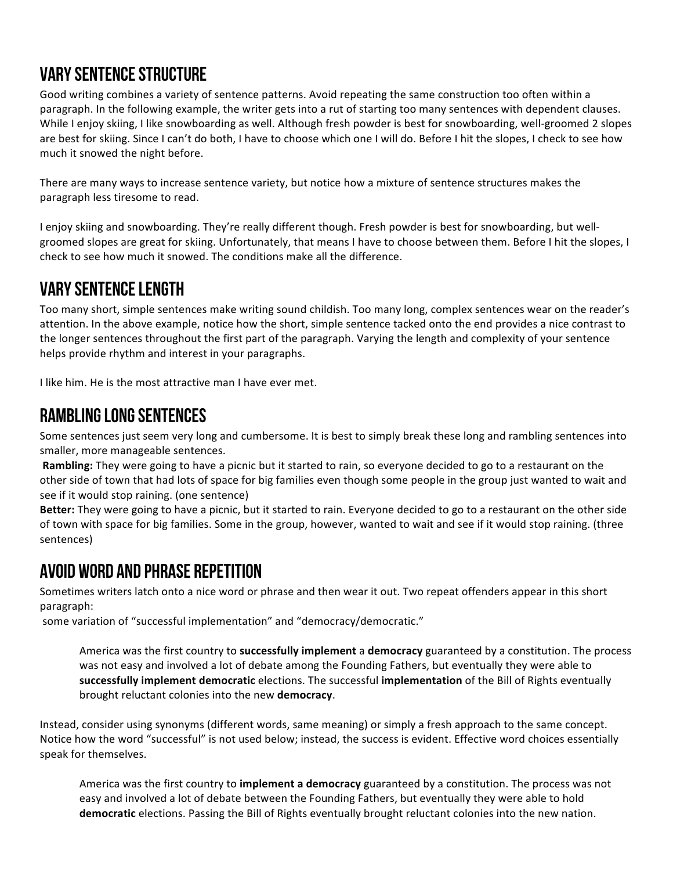### Vary Sentence Structure

Good writing combines a variety of sentence patterns. Avoid repeating the same construction too often within a paragraph. In the following example, the writer gets into a rut of starting too many sentences with dependent clauses. While I enjoy skiing, I like snowboarding as well. Although fresh powder is best for snowboarding, well-groomed 2 slopes are best for skiing. Since I can't do both, I have to choose which one I will do. Before I hit the slopes, I check to see how much it snowed the night before.

There are many ways to increase sentence variety, but notice how a mixture of sentence structures makes the paragraph less tiresome to read.

I enjoy skiing and snowboarding. They're really different though. Fresh powder is best for snowboarding, but wellgroomed slopes are great for skiing. Unfortunately, that means I have to choose between them. Before I hit the slopes, I check to see how much it snowed. The conditions make all the difference.

### Vary Sentence Length

Too many short, simple sentences make writing sound childish. Too many long, complex sentences wear on the reader's attention. In the above example, notice how the short, simple sentence tacked onto the end provides a nice contrast to the longer sentences throughout the first part of the paragraph. Varying the length and complexity of your sentence helps provide rhythm and interest in your paragraphs.

I like him. He is the most attractive man I have ever met.

#### Rambling Long Sentences

Some sentences just seem very long and cumbersome. It is best to simply break these long and rambling sentences into smaller, more manageable sentences.

**Rambling:** They were going to have a picnic but it started to rain, so everyone decided to go to a restaurant on the other side of town that had lots of space for big families even though some people in the group just wanted to wait and see if it would stop raining. (one sentence)

**Better:** They were going to have a picnic, but it started to rain. Everyone decided to go to a restaurant on the other side of town with space for big families. Some in the group, however, wanted to wait and see if it would stop raining. (three sentences)

### Avoid Word and Phrase repetition

Sometimes writers latch onto a nice word or phrase and then wear it out. Two repeat offenders appear in this short paragraph:

some variation of "successful implementation" and "democracy/democratic."

America was the first country to **successfully implement** a **democracy** guaranteed by a constitution. The process was not easy and involved a lot of debate among the Founding Fathers, but eventually they were able to **successfully implement democratic** elections. The successful *implementation* of the Bill of Rights eventually brought reluctant colonies into the new democracy.

Instead, consider using synonyms (different words, same meaning) or simply a fresh approach to the same concept. Notice how the word "successful" is not used below; instead, the success is evident. Effective word choices essentially speak for themselves.

America was the first country to **implement a democracy** guaranteed by a constitution. The process was not easy and involved a lot of debate between the Founding Fathers, but eventually they were able to hold **democratic** elections. Passing the Bill of Rights eventually brought reluctant colonies into the new nation.